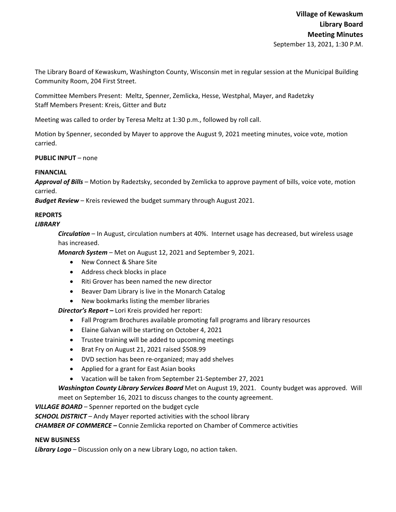The Library Board of Kewaskum, Washington County, Wisconsin met in regular session at the Municipal Building Community Room, 204 First Street.

Committee Members Present: Meltz, Spenner, Zemlicka, Hesse, Westphal, Mayer, and Radetzky Staff Members Present: Kreis, Gitter and Butz

Meeting was called to order by Teresa Meltz at 1:30 p.m., followed by roll call.

Motion by Spenner, seconded by Mayer to approve the August 9, 2021 meeting minutes, voice vote, motion carried.

**PUBLIC INPUT** – none

## **FINANCIAL**

*Approval of Bills –* Motion by Radeztsky, seconded by Zemlicka to approve payment of bills, voice vote, motion carried.

*Budget Review* – Kreis reviewed the budget summary through August 2021.

# **REPORTS**

## *LIBRARY*

*Circulation* – In August, circulation numbers at 40%. Internet usage has decreased, but wireless usage has increased.

*Monarch System* – Met on August 12, 2021 and September 9, 2021.

- New Connect & Share Site
- Address check blocks in place
- Riti Grover has been named the new director
- Beaver Dam Library is live in the Monarch Catalog
- New bookmarks listing the member libraries

*Director's Report* **–** Lori Kreis provided her report:

- Fall Program Brochures available promoting fall programs and library resources
- Elaine Galvan will be starting on October 4, 2021
- Trustee training will be added to upcoming meetings
- Brat Fry on August 21, 2021 raised \$508.99
- DVD section has been re-organized; may add shelves
- Applied for a grant for East Asian books
- Vacation will be taken from September 21‐September 27, 2021

*Washington County Library Services Board* Met on August 19, 2021. County budget was approved. Will

meet on September 16, 2021 to discuss changes to the county agreement.

*VILLAGE BOARD* – Spenner reported on the budget cycle

*SCHOOL DISTRICT* – Andy Mayer reported activities with the school library

*CHAMBER OF COMMERCE –* Connie Zemlicka reported on Chamber of Commerce activities

#### **NEW BUSINESS**

*Library Logo* – Discussion only on a new Library Logo, no action taken.